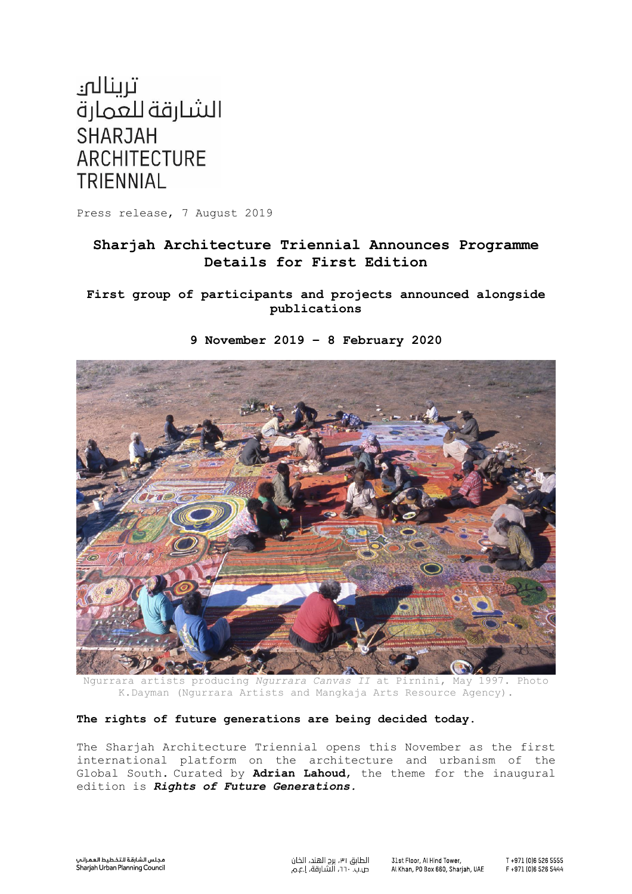

Press release, 7 August 2019

# **Sharjah Architecture Triennial Announces Programme Details for First Edition**

**First group of participants and projects announced alongside publications**



**9 November 2019 – 8 February 2020**

Ngurrara artists producing *Ngurrara Canvas II* at Pirnini, May 1997. Photo K.Dayman (Ngurrara Artists and Mangkaja Arts Resource Agency).

## **The rights of future generations are being decided today.**

The Sharjah Architecture Triennial opens this November as the first international platform on the architecture and urbanism of the Global South. Curated by **Adrian Lahoud**, the theme for the inaugural edition is *Rights of Future Generations.*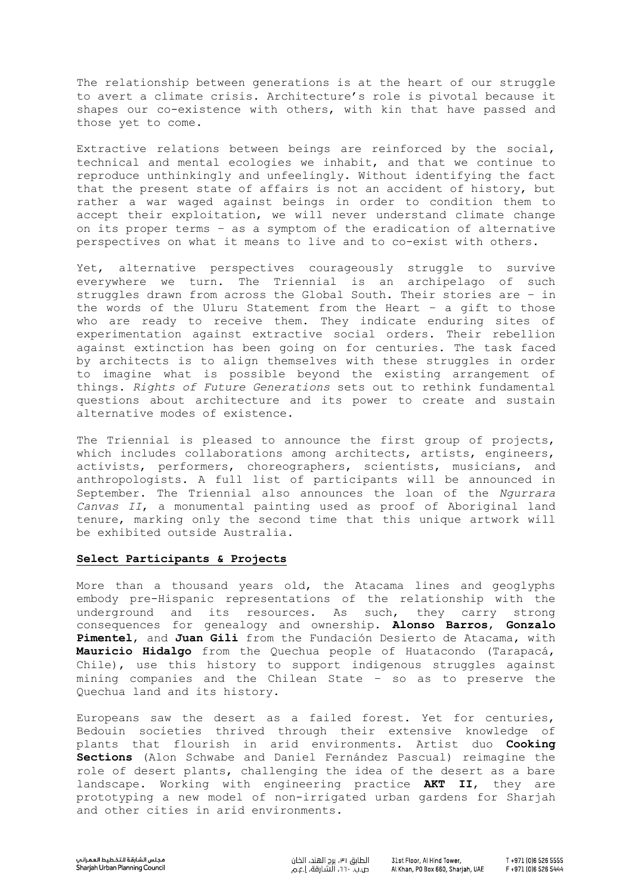The relationship between generations is at the heart of our struggle to avert a climate crisis. Architecture's role is pivotal because it shapes our co-existence with others, with kin that have passed and those yet to come.

Extractive relations between beings are reinforced by the social, technical and mental ecologies we inhabit, and that we continue to reproduce unthinkingly and unfeelingly. Without identifying the fact that the present state of affairs is not an accident of history, but rather a war waged against beings in order to condition them to accept their exploitation, we will never understand climate change on its proper terms – as a symptom of the eradication of alternative perspectives on what it means to live and to co-exist with others.

Yet, alternative perspectives courageously struggle to survive everywhere we turn. The Triennial is an archipelago of such struggles drawn from across the Global South. Their stories are – in the words of the Uluru Statement from the Heart – a gift to those who are ready to receive them. They indicate enduring sites of experimentation against extractive social orders. Their rebellion against extinction has been going on for centuries. The task faced by architects is to align themselves with these struggles in order to imagine what is possible beyond the existing arrangement of things. *Rights of Future Generations* sets out to rethink fundamental questions about architecture and its power to create and sustain alternative modes of existence.

The Triennial is pleased to announce the first group of projects, which includes collaborations among architects, artists, engineers, activists, performers, choreographers, scientists, musicians, and anthropologists. A full list of participants will be announced in September. The Triennial also announces the loan of the *Ngurrara Canvas II*, a monumental painting used as proof of Aboriginal land tenure, marking only the second time that this unique artwork will be exhibited outside Australia.

## **Select Participants & Projects**

More than a thousand years old, the Atacama lines and geoglyphs embody pre-Hispanic representations of the relationship with the underground and its resources. As such, they carry strong consequences for genealogy and ownership. **Alonso Barros**, **Gonzalo Pimentel**, and **Juan Gili** from the Fundación Desierto de Atacama, with **Mauricio Hidalgo** from the Quechua people of Huatacondo (Tarapacá, Chile), use this history to support indigenous struggles against mining companies and the Chilean State – so as to preserve the Quechua land and its history.

Europeans saw the desert as a failed forest. Yet for centuries, Bedouin societies thrived through their extensive knowledge of plants that flourish in arid environments. Artist duo **Cooking Sections** (Alon Schwabe and Daniel Fernández Pascual) reimagine the role of desert plants, challenging the idea of the desert as a bare landscape. Working with engineering practice **AKT II**, they are prototyping a new model of non-irrigated urban gardens for Sharjah and other cities in arid environments.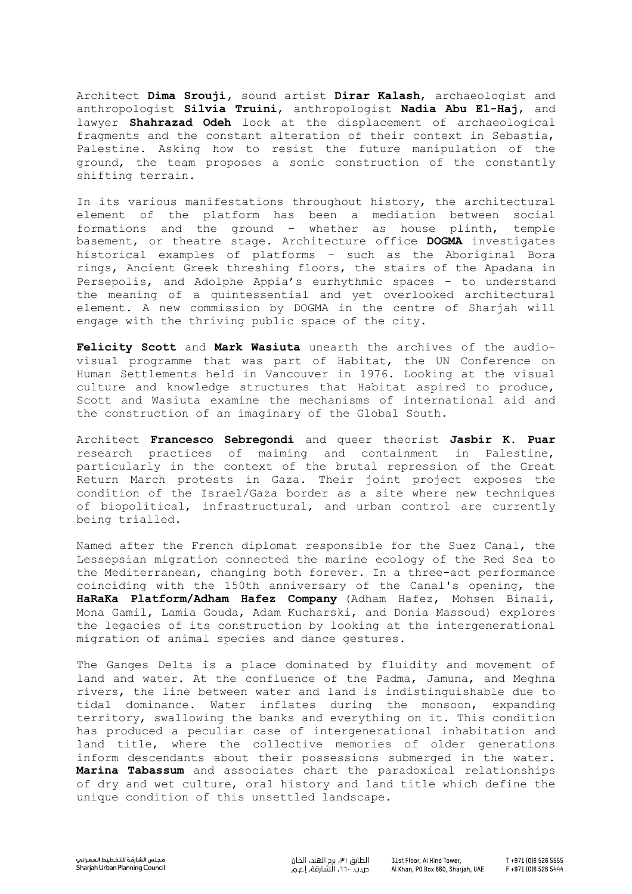Architect **Dima Srouji,** sound artist **Dirar Kalash**, archaeologist and anthropologist **Silvia Truini**, anthropologist **Nadia Abu El-Haj**, and lawyer **Shahrazad Odeh** look at the displacement of archaeological fragments and the constant alteration of their context in Sebastia, Palestine. Asking how to resist the future manipulation of the ground, the team proposes a sonic construction of the constantly shifting terrain.

In its various manifestations throughout history, the architectural element of the platform has been a mediation between social formations and the ground – whether as house plinth, temple basement, or theatre stage. Architecture office **DOGMA** investigates historical examples of platforms – such as the Aboriginal Bora rings, Ancient Greek threshing floors, the stairs of the Apadana in Persepolis, and Adolphe Appia's eurhythmic spaces – to understand the meaning of a quintessential and yet overlooked architectural element. A new commission by DOGMA in the centre of Sharjah will engage with the thriving public space of the city.

**Felicity Scott** and **Mark Wasiuta** unearth the archives of the audiovisual programme that was part of Habitat, the UN Conference on Human Settlements held in Vancouver in 1976. Looking at the visual culture and knowledge structures that Habitat aspired to produce, Scott and Wasiuta examine the mechanisms of international aid and the construction of an imaginary of the Global South.

Architect **Francesco Sebregondi** and queer theorist **Jasbir K. Puar** research practices of maiming and containment in Palestine, particularly in the context of the brutal repression of the Great Return March protests in Gaza. Their joint project exposes the condition of the Israel/Gaza border as a site where new techniques of biopolitical, infrastructural, and urban control are currently being trialled.

Named after the French diplomat responsible for the Suez Canal, the Lessepsian migration connected the marine ecology of the Red Sea to the Mediterranean, changing both forever. In a three-act performance coinciding with the 150th anniversary of the Canal's opening, the **HaRaKa Platform/Adham Hafez Company** (Adham Hafez, Mohsen Binali, Mona Gamil, Lamia Gouda, Adam Kucharski, and Donia Massoud) explores the legacies of its construction by looking at the intergenerational migration of animal species and dance gestures.

The Ganges Delta is a place dominated by fluidity and movement of land and water. At the confluence of the Padma, Jamuna, and Meghna rivers, the line between water and land is indistinguishable due to tidal dominance. Water inflates during the monsoon, expanding territory, swallowing the banks and everything on it. This condition has produced a peculiar case of intergenerational inhabitation and land title, where the collective memories of older generations inform descendants about their possessions submerged in the water. **Marina Tabassum** and associates chart the paradoxical relationships of dry and wet culture, oral history and land title which define the unique condition of this unsettled landscape.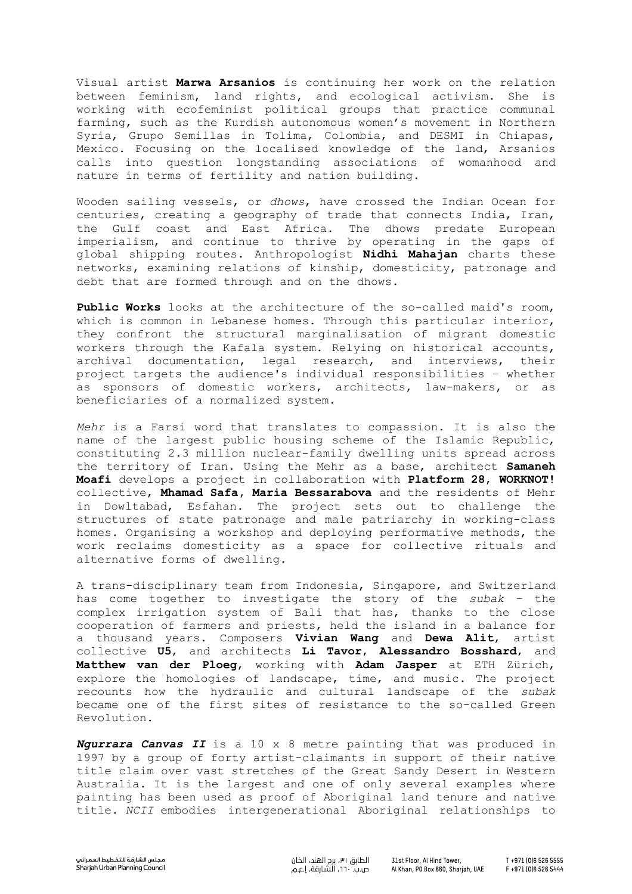Visual artist **Marwa Arsanios** is continuing her work on the relation between feminism, land rights, and ecological activism. She is working with ecofeminist political groups that practice communal farming, such as the Kurdish autonomous women's movement in Northern Syria, Grupo Semillas in Tolima, Colombia, and DESMI in Chiapas, Mexico. Focusing on the localised knowledge of the land, Arsanios calls into question longstanding associations of womanhood and nature in terms of fertility and nation building.

Wooden sailing vessels, or *dhows*, have crossed the Indian Ocean for centuries, creating a geography of trade that connects India, Iran, the Gulf coast and East Africa. The dhows predate European imperialism, and continue to thrive by operating in the gaps of global shipping routes. Anthropologist **Nidhi Mahajan** charts these networks, examining relations of kinship, domesticity, patronage and debt that are formed through and on the dhows.

**Public Works** looks at the architecture of the so-called maid's room, which is common in Lebanese homes. Through this particular interior, they confront the structural marginalisation of migrant domestic workers through the Kafala system. Relying on historical accounts, archival documentation, legal research, and interviews, their project targets the audience's individual responsibilities – whether as sponsors of domestic workers, architects, law-makers, or as beneficiaries of a normalized system.

*Mehr* is a Farsi word that translates to compassion. It is also the name of the largest public housing scheme of the Islamic Republic, constituting 2.3 million nuclear-family dwelling units spread across the territory of Iran. Using the Mehr as a base, architect **Samaneh Moafi** develops a project in collaboration with **Platform 28**, **WORKNOT!** collective, **Mhamad Safa, Maria Bessarabova** and the residents of Mehr in Dowltabad, Esfahan. The project sets out to challenge the structures of state patronage and male patriarchy in working-class homes. Organising a workshop and deploying performative methods, the work reclaims domesticity as a space for collective rituals and alternative forms of dwelling.

A trans-disciplinary team from Indonesia, Singapore, and Switzerland has come together to investigate the story of the *subak* – the complex irrigation system of Bali that has, thanks to the close cooperation of farmers and priests, held the island in a balance for a thousand years. Composers **Vivian Wang** and **Dewa Alit**, artist collective **U5**, and architects **Li Tavor**, **Alessandro Bosshard**, and **Matthew van der Ploeg**, working with **Adam Jasper** at ETH Zürich, explore the homologies of landscape, time, and music. The project recounts how the hydraulic and cultural landscape of the *subak* became one of the first sites of resistance to the so-called Green Revolution.

*Ngurrara Canvas II* is a 10 x 8 metre painting that was produced in 1997 by a group of forty artist-claimants in support of their native title claim over vast stretches of the Great Sandy Desert in Western Australia. It is the largest and one of only several examples where painting has been used as proof of Aboriginal land tenure and native title. *NCII* embodies intergenerational Aboriginal relationships to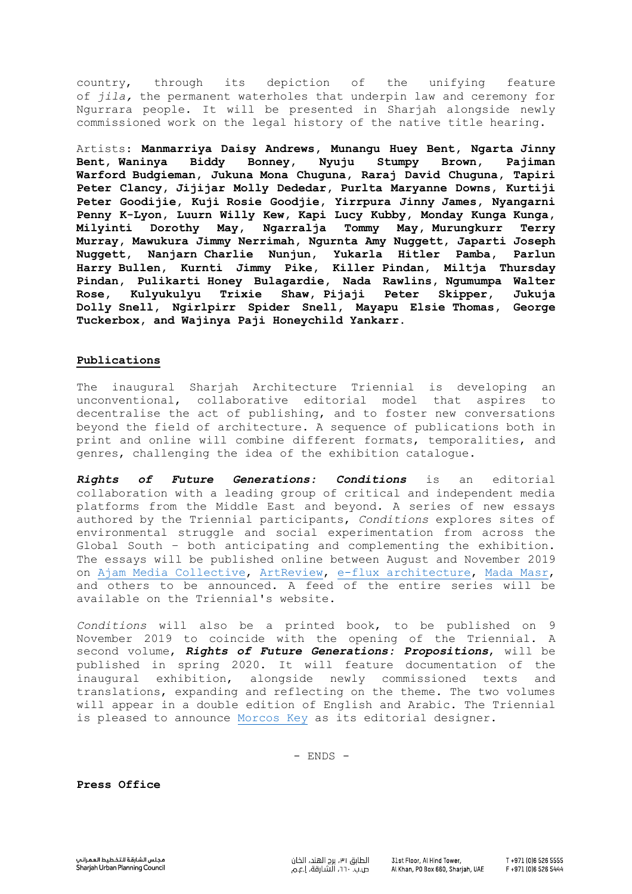country, through its depiction of the unifying feature of *jila,* the permanent waterholes that underpin law and ceremony for Ngurrara people. It will be presented in Sharjah alongside newly commissioned work on the legal history of the native title hearing.

Artists: **Manmarriya Daisy Andrews, Munangu Huey Bent, Ngarta Jinny Bent, Waninya Biddy Bonney, Nyuju Stumpy Brown, Pajiman Warford Budgieman, Jukuna Mona Chuguna, Raraj David Chuguna, Tapiri Peter Clancy, Jijijar Molly Dededar, Purlta Maryanne Downs, Kurtiji Peter Goodijie, Kuji Rosie Goodjie, Yirrpura Jinny James, Nyangarni Penny K-Lyon, Luurn Willy Kew, Kapi Lucy Kubby, Monday Kunga Kunga, Milyinti Dorothy May, Ngarralja Tommy May, Murungkurr Terry Murray, Mawukura Jimmy Nerrimah, Ngurnta Amy Nuggett, Japarti Joseph Nuggett, Nanjarn Charlie Nunjun, Yukarla Hitler Pamba, Parlun Harry Bullen, Kurnti Jimmy Pike, Killer Pindan, Miltja Thursday Pindan, Pulikarti Honey Bulagardie, Nada Rawlins, Ngumumpa Walter Rose, Kulyukulyu Trixie Shaw, Pijaji Peter Skipper, Jukuja Dolly Snell, Ngirlpirr Spider Snell, Mayapu Elsie Thomas, George Tuckerbox, and Wajinya Paji Honeychild Yankarr**.

#### **Publications**

The inaugural Sharjah Architecture Triennial is developing an unconventional, collaborative editorial model that aspires to decentralise the act of publishing, and to foster new conversations beyond the field of architecture. A sequence of publications both in print and online will combine different formats, temporalities, and genres, challenging the idea of the exhibition catalogue.

*Rights of Future Generations: Conditions* is an editorial collaboration with a leading group of critical and independent media platforms from the Middle East and beyond. A series of new essays authored by the Triennial participants, *Conditions* explores sites of environmental struggle and social experimentation from across the Global South – both anticipating and complementing the exhibition. The essays will be published online between August and November 2019 on [Ajam Media Collective,](https://ajammc.com/) [ArtReview,](https://artreview.com/) [e-flux architecture,](https://www.e-flux.com/architecture/) [Mada Masr,](https://madamasr.com/en/) and others to be announced. A feed of the entire series will be available on the Triennial's website.

*Conditions* will also be a printed book, to be published on 9 November 2019 to coincide with the opening of the Triennial. A second volume, *Rights of Future Generations: Propositions*, will be published in spring 2020. It will feature documentation of the inaugural exhibition, alongside newly commissioned texts and translations, expanding and reflecting on the theme. The two volumes will appear in a double edition of English and Arabic. The Triennial is pleased to announce [Morcos Key](https://morcoskey.com/) as its editorial designer.

- ENDS -

**Press Office**